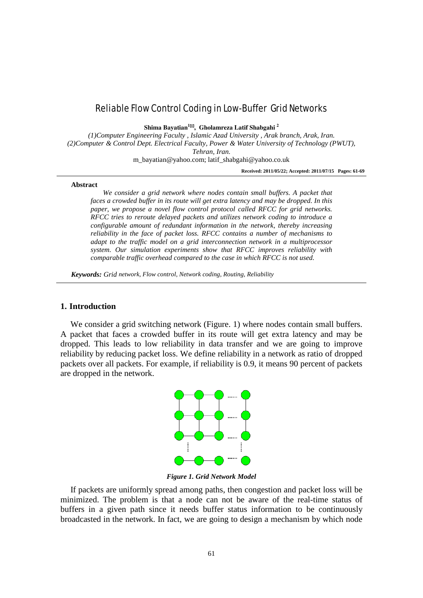# Reliable Flow Control Coding in Low-Buffer Grid Networks

**Shima Bayatian<sup>1</sup>, Gholamreza Latif Shabgahi <sup>2</sup>**

*(1)Computer Engineering Faculty , Islamic Azad University , Arak branch, Arak, Iran. (2)Computer & Control Dept. Electrical Faculty, Power & Water University of Technology (PWUT), Tehran, Iran.*

[m\\_bayatian@yahoo.com;](mailto:vaziribabak@yahoo.com) [latif\\_shabgahi@yahoo.co.uk](mailto:parsa@iust.ac.ir)

**Received: 2011/05/22; Accepted: 2011/07/15 Pages: 61-69**

#### **Abstract**

We consider a grid network where nodes contain small buffers. A packet that *faces a crowded buffer in its route will get extra latency and may be dropped. In this paper, we propose a novel flow control protocol called RFCC for grid networks. RFCC tries to reroute delayed packets and utilizes network coding to introduce a configurable amount of redundant information in the network, thereby increasing reliability in the face of packet loss. RFCC contains a number of mechanisms to adapt to the traffic model on a grid interconnection network in a multiprocessor system. Our simulation experiments show that RFCC improves reliability with comparable traffic overhead compared to the case in which RFCC is not used.*

*Keywords: Grid network, Flow control, Network coding, Routing, Reliability*

# **1. Introduction**

We consider a grid switching network (Figure. 1) where nodes contain small buffers. A packet that faces a crowded buffer in its route will get extra latency and may be dropped. This leads to low reliability in data transfer and we are going to improve reliability by reducing packet loss. We define reliability in a network as ratio of dropped packets over all packets. For example, if reliability is 0.9, it means 90 percent of packets are dropped in the network.



*Figure 1. Grid Network Model*

If packets are uniformly spread among paths, then congestion and packet loss will be minimized. The problem is that a node can not be aware of the real-time status of buffers in a given path since it needs buffer status information to be continuously broadcasted in the network. In fact, we are going to design a mechanism by which node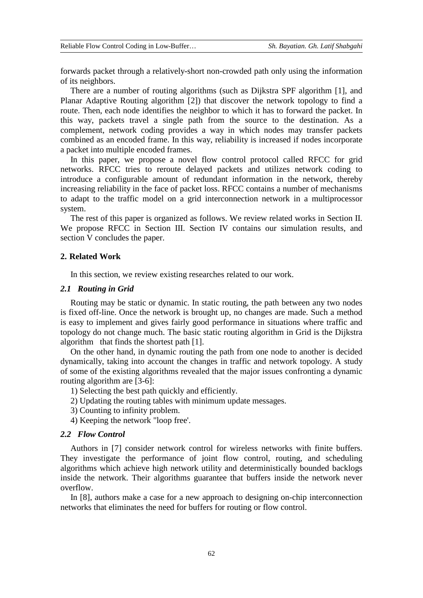forwards packet through a relatively-short non-crowded path only using the information of its neighbors.

There are a number of routing algorithms (such as Dijkstra SPF algorithm [1], and Planar Adaptive Routing algorithm [2]) that discover the network topology to find a route. Then, each node identifies the neighbor to which it has to forward the packet. In this way, packets travel a single path from the source to the destination. As a complement, network coding provides a way in which nodes may transfer packets combined as an encoded frame. In this way, reliability is increased if nodes incorporate a packet into multiple encoded frames.

In this paper, we propose a novel flow control protocol called RFCC for grid networks. RFCC tries to reroute delayed packets and utilizes network coding to introduce a configurable amount of redundant information in the network, thereby increasing reliability in the face of packet loss. RFCC contains a number of mechanisms to adapt to the traffic model on a grid interconnection network in a multiprocessor system.

The rest of this paper is organized as follows. We review related works in Section II. We propose RFCC in Section III. Section IV contains our simulation results, and section V concludes the paper.

### **2. Related Work**

In this section, we review existing researches related to our work.

### *2.1 Routing in Grid*

Routing may be static or dynamic. In static routing, the path between any two nodes is fixed off-line. Once the network is brought up, no changes are made. Such a method is easy to implement and gives fairly good performance in situations where traffic and topology do not change much. The basic static routing algorithm in Grid is the Dijkstra algorithm that finds the shortest path [1].

On the other hand, in dynamic routing the path from one node to another is decided dynamically, taking into account the changes in traffic and network topology. A study of some of the existing algorithms revealed that the major issues confronting a dynamic routing algorithm are [3-6]:

- 1) Selecting the best path quickly and efficiently.
- 2) Updating the routing tables with minimum update messages.
- 3) Counting to infinity problem.
- 4) Keeping the network "loop free'.

# *2.2 Flow Control*

Authors in [7] consider network control for wireless networks with finite buffers. They investigate the performance of joint flow control, routing, and scheduling algorithms which achieve high network utility and deterministically bounded backlogs inside the network. Their algorithms guarantee that buffers inside the network never overflow.

In [8], authors make a case for a new approach to designing on-chip interconnection networks that eliminates the need for buffers for routing or flow control.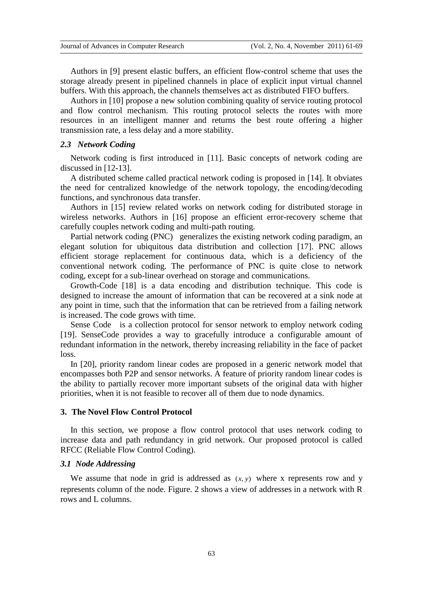Authors in [9] present elastic buffers, an efficient flow-control scheme that uses the storage already present in pipelined channels in place of explicit input virtual channel buffers. With this approach, the channels themselves act as distributed FIFO buffers.

Authors in [10] propose a new solution combining quality of service routing protocol and flow control mechanism. This routing protocol selects the routes with more resources in an intelligent manner and returns the best route offering a higher transmission rate, a less delay and a more stability.

# *2.3 Network Coding*

Network coding is first introduced in [11]. Basic concepts of network coding are discussed in [12-13].

A distributed scheme called practical network coding is proposed in [14]. It obviates the need for centralized knowledge of the network topology, the encoding/decoding functions, and synchronous data transfer.

Authors in [15] review related works on network coding for distributed storage in wireless networks. Authors in [16] propose an efficient error-recovery scheme that carefully couples network coding and multi-path routing.

Partial network coding (PNC) generalizes the existing network coding paradigm, an elegant solution for ubiquitous data distribution and collection [17]. PNC allows efficient storage replacement for continuous data, which is a deficiency of the conventional network coding. The performance of PNC is quite close to network coding, except for a sub-linear overhead on storage and communications.

Growth-Code [18] is a data encoding and distribution technique. This code is designed to increase the amount of information that can be recovered at a sink node at any point in time, such that the information that can be retrieved from a failing network is increased. The code grows with time.

Sense Code is a collection protocol for sensor network to employ network coding [19]. SenseCode provides a way to gracefully introduce a configurable amount of redundant information in the network, thereby increasing reliability in the face of packet loss.

In [20], priority random linear codes are proposed in a generic network model that encompasses both P2P and sensor networks. A feature of priority random linear codes is the ability to partially recover more important subsets of the original data with higher priorities, when it is not feasible to recover all of them due to node dynamics.

# **3. The Novel Flow Control Protocol**

In this section, we propose a flow control protocol that uses network coding to increase data and path redundancy in grid network. Our proposed protocol is called RFCC (Reliable Flow Control Coding).

## *3.1 Node Addressing*

We assume that node in grid is addressed as  $(x, y)$  where x represents row and y represents column of the node. Figure. 2 shows a view of addresses in a network with R rows and L columns.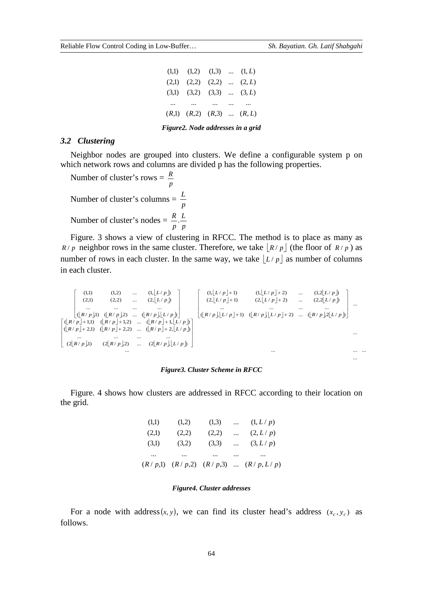...

| $(1,1)$ $(1,2)$ $(1,3)$ $(1,L)$ |  |  |
|---------------------------------|--|--|
| $(2,1)$ $(2,2)$ $(2,2)$ $(2,L)$ |  |  |
| $(3,1)$ $(3,2)$ $(3,3)$ $(3,L)$ |  |  |
|                                 |  |  |
| $(R,1)$ $(R,2)$ $(R,3)$ $(R,L)$ |  |  |
|                                 |  |  |

*Figure2. Node addresses in a grid*

# *3.2 Clustering*

Neighbor nodes are grouped into clusters. We define a configurable system p on which network rows and columns are divided p has the following properties.

Number of cluster's rows =  $\frac{R}{p}$ *R* Number of cluster's columns =  $\frac{p}{p}$ *L* Number of cluster's nodes  $=$   $\frac{R}{p} \cdot \frac{B}{p}$ *L p R* .

Figure. 3 shows a view of clustering in RFCC. The method is to place as many as *R* / *p* neighbor rows in the same cluster. Therefore, we take  $|R/p|$  (the floor of  $R/p$ ) as number of rows in each cluster. In the same way, we take  $|L/p|$  as number of columns in each cluster.

 $\lfloor L/p\rfloor$  $\lfloor L/p\rfloor$  $\lfloor R/p \rfloor$ 1)  $\lfloor R/p \rfloor$ 2) ...  $\lfloor R/p \rfloor$  $\lfloor L/p \rfloor$  $\lfloor L/p \rfloor + 1$   $(l, \lfloor L/p \rfloor + 2)$  ...  $(l, 2\lfloor L/p \rfloor)$  $\lfloor L/p \rfloor + 1$  (2, $\lfloor L/p \rfloor + 2$ ) ... (2,2 $\lfloor L/p \rfloor$  $\lfloor R/p \rfloor \lfloor L/p \rfloor + 1$ )  $(\lfloor R/p \rfloor \lfloor L/p \rfloor + 2)$  ...  $(\lfloor R/p \rfloor \lfloor L/p \rfloor$  $(\lfloor R/p \rfloor + 1,1)$   $(\lfloor R/p \rfloor + 1,2)$  ...  $(\lfloor R/p \rfloor + 1, \lfloor L/p \rfloor)$  $\left[ (R/p) + 2,1) \right] (R/p) + 2,2) \dots \left[ (R/p) + 2, \lfloor L/p \rfloor \right]$  $(2[R/p],1)$   $(2[R/p],2)$  ...  $(2[R/p],L/p]$ ... ... ... ... ... ... ... ... ... ...  $(|R/p| |L/p| + 1)$   $(|R/p| |L/p| + 2)$  ...  $(|R/p| |L/p|)$ ... ... ... ...  $(2, L/p+1)$   $(2, L/p+2)$  ...  $(2, 2|L/p]$  $(1, L/p + 1)$   $(1, L/p + 2)$  ...  $(1, 2|L/p)$  $\left( \left[ \frac{R}{p} \right] \right) \left( \left[ \frac{R}{p} \right] \right)$  ...  $\left( \left[ \frac{R}{p} \right] \right) \left[ \frac{L}{p} \right]$ ... ... ... ...  $(2,1)$   $(2,2)$  ...  $(2, |L/p|)$ (1,1)  $(1,2)$  ...  $(1, \lfloor L/p \rfloor)$  $\left[ \left( \frac{[R/p]}{P} \right) + 1, 1 \right] \left( \frac{[R/p]}{P} \right) + 1, 2 \right]$  ...  $\left( \frac{[R/p]}{P} \right) + 1, \left[ \frac{L}{p} \right]$  $\left[\begin{array}{ccc} ... & ... & ... & ...\\ (2\lfloor R/p \rfloor !) & (2\lfloor R/p \rfloor 2) & ... & (2\lfloor R/p \rfloor \lfloor L/p \rfloor) \end{array}\right]$  $\left[ (2\lfloor R/p \rfloor 1) - (2\lfloor R/p \rfloor 2) \ldots (2\lfloor R/p \rfloor 2] L/p \right]$  J Ī  $\overline{\phantom{a}}$ L Г + 1)  $(|R/p|, |L/p| +$ + 1)  $(2, |L/p| +$  $+1$   $(1, |L/p| +$  J ٦  $\overline{\phantom{a}}$ L Γ  $R / p \, | +1,1) \quad ( |R / p \, | +1,2) \quad \dots \quad ( |R / p \, | +1, |L / p)$  $R/p$ ,  $L/p$ ,  $+1$ )  $(R/p)$ ,  $L/p$ ,  $+2$ ) ...  $(R/p)$ ,  $2L/p$  $L/p \neq 1$  (2,  $L/p \neq 2$  ... (2,2  $L/p$  $L/p \neq 1$   $(1, L/p \neq 2)$   $(1, 2|L/p \neq 2)$   $(1, 2|L/p \neq 2)$  $R / p \downarrow 1$   $(R / p \downarrow 2)$  ...  $(R / p \downarrow L / p$ *L p L p*

#### *Figure3. Cluster Scheme in RFCC*

Figure. 4 shows how clusters are addressed in RFCC according to their location on the grid.

|       |          |          |          | $(R/p,1)$ $(R/p,2)$ $(R/p,3)$ $(R/p, L/p)$ |
|-------|----------|----------|----------|--------------------------------------------|
|       | $\cdots$ | $\cdots$ |          |                                            |
| (3,1) | (3,2)    | (3,3)    | $\cdots$ | (3, L/p)                                   |
| (2,1) | (2,2)    | (2,2)    | $\cdots$ | (2, L/p)                                   |
| (1,1) | (1,2)    | (1,3)    | $\cdots$ | (1, L/p)                                   |

### *Figure4. Cluster addresses*

For a node with address(*x, y*), we can find its cluster head's address ( $x_c$ ,  $y_c$ ) as follows.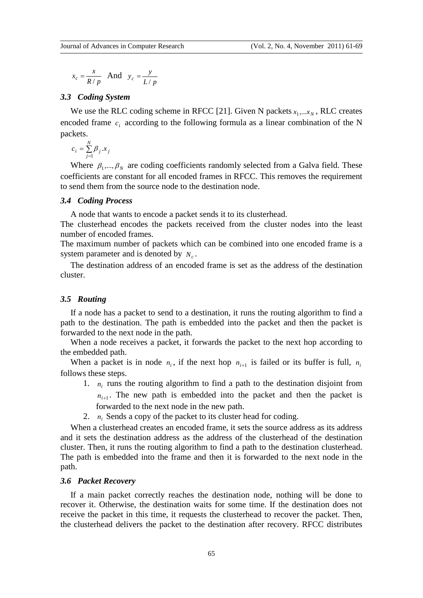$$
x_c = \frac{x}{R/p} \quad \text{And} \quad y_c = \frac{y}{L/p}
$$

# *3.3 Coding System*

We use the RLC coding scheme in RFCC [21]. Given N packets  $x_1, \ldots, x_N$ , RLC creates encoded frame  $c_i$  according to the following formula as a linear combination of the N packets.

$$
c_i = \sum_{j=1}^{N} \beta_j \, x_j
$$

Where  $\beta_1, ..., \beta_N$  are coding coefficients randomly selected from a Galva field. These coefficients are constant for all encoded frames in RFCC. This removes the requirement to send them from the source node to the destination node.

# *3.4 Coding Process*

A node that wants to encode a packet sends it to its clusterhead.

The clusterhead encodes the packets received from the cluster nodes into the least number of encoded frames.

The maximum number of packets which can be combined into one encoded frame is a system parameter and is denoted by  $N_c$ .

The destination address of an encoded frame is set as the address of the destination cluster.

# *3.5 Routing*

If a node has a packet to send to a destination, it runs the routing algorithm to find a path to the destination. The path is embedded into the packet and then the packet is forwarded to the next node in the path.

When a node receives a packet, it forwards the packet to the next hop according to the embedded path.

When a packet is in node  $n_i$ , if the next hop  $n_{i+1}$  is failed or its buffer is full,  $n_i$ follows these steps.

- 1. *ni* runs the routing algorithm to find a path to the destination disjoint from  $n_{i+1}$ . The new path is embedded into the packet and then the packet is forwarded to the next node in the new path.
- 2. *ni* Sends a copy of the packet to its cluster head for coding.

When a clusterhead creates an encoded frame, it sets the source address as its address and it sets the destination address as the address of the clusterhead of the destination cluster. Then, it runs the routing algorithm to find a path to the destination clusterhead. The path is embedded into the frame and then it is forwarded to the next node in the path.

## *3.6 Packet Recovery*

If a main packet correctly reaches the destination node, nothing will be done to recover it. Otherwise, the destination waits for some time. If the destination does not receive the packet in this time, it requests the clusterhead to recover the packet. Then, the clusterhead delivers the packet to the destination after recovery. RFCC distributes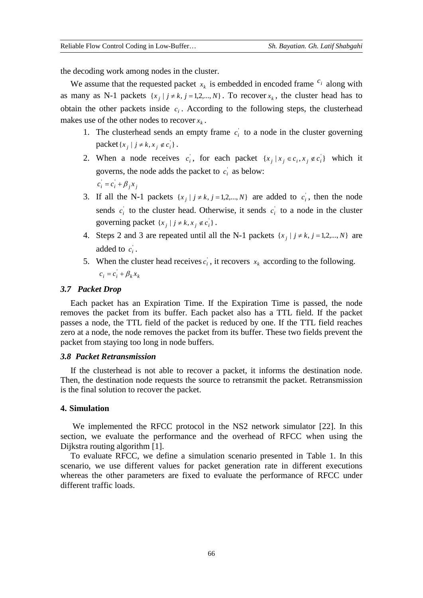the decoding work among nodes in the cluster.

We assume that the requested packet  $x_k$  is embedded in encoded frame  $c_i$  along with as many as N-1 packets  $\{x_j \mid j \neq k, j = 1,2,...,N\}$ . To recover  $x_k$ , the cluster head has to obtain the other packets inside  $c_i$ . According to the following steps, the clusterhead makes use of the other nodes to recover  $x_k$ .

- 1. The clusterhead sends an empty frame  $c_i$  to a node in the cluster governing  $\text{packet}\lbrace x_j \mid j \neq k, x_j \notin c_i \rbrace$ .
- 2. When a node receives  $c_i$ , for each packet  $\{x_j | x_j \in c_i, x_j \notin c_i\}$  which it governs, the node adds the packet to  $c_i$  as below:  $c_i = c_i + \beta_i x_i$
- 3. If all the N-1 packets  $\{x_j \mid j \neq k, j = 1,2,..., N\}$  are added to  $c_i$ , then the node sends  $c_i$  to the cluster head. Otherwise, it sends  $c_i$  to a node in the cluster governing packet  $\{x_j \mid j \neq k, x_j \notin c_i\}$ .
- 4. Steps 2 and 3 are repeated until all the N-1 packets  $\{x_i \mid j \neq k, j = 1,2,..., N\}$  are added to  $c_i$ .
- 5. When the cluster head receives  $c_i$ , it recovers  $x_k$  according to the following.  $c_i = c_i + \beta_k x_k$

### *3.7 Packet Drop*

Each packet has an Expiration Time. If the Expiration Time is passed, the node removes the packet from its buffer. Each packet also has a TTL field. If the packet passes a node, the TTL field of the packet is reduced by one. If the TTL field reaches zero at a node, the node removes the packet from its buffer. These two fields prevent the packet from staying too long in node buffers.

## *3.8 Packet Retransmission*

If the clusterhead is not able to recover a packet, it informs the destination node. Then, the destination node requests the source to retransmit the packet. Retransmission is the final solution to recover the packet.

## **4. Simulation**

We implemented the RFCC protocol in the NS2 network simulator [22]. In this section, we evaluate the performance and the overhead of RFCC when using the Dijkstra routing algorithm [1].

To evaluate RFCC, we define a simulation scenario presented in Table 1. In this scenario, we use different values for packet generation rate in different executions whereas the other parameters are fixed to evaluate the performance of RFCC under different traffic loads.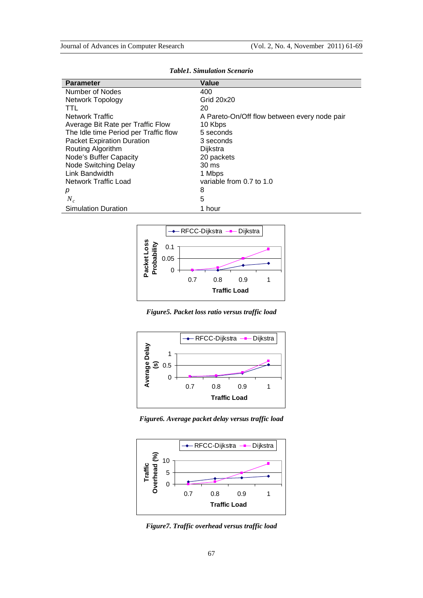| <b>Parameter</b>                      | Value                                        |  |  |
|---------------------------------------|----------------------------------------------|--|--|
| Number of Nodes                       | 400                                          |  |  |
| <b>Network Topology</b>               | Grid 20x20                                   |  |  |
| TTL                                   | 20                                           |  |  |
| <b>Network Traffic</b>                | A Pareto-On/Off flow between every node pair |  |  |
| Average Bit Rate per Traffic Flow     | 10 Kbps                                      |  |  |
| The Idle time Period per Traffic flow | 5 seconds                                    |  |  |
| <b>Packet Expiration Duration</b>     | 3 seconds                                    |  |  |
| Routing Algorithm                     | Dijkstra                                     |  |  |
| Node's Buffer Capacity                | 20 packets                                   |  |  |
| Node Switching Delay                  | $30 \text{ ms}$                              |  |  |
| Link Bandwidth                        | 1 Mbps                                       |  |  |
| Network Traffic Load                  | variable from 0.7 to 1.0                     |  |  |
| р                                     | 8                                            |  |  |
| $N_c$                                 | 5                                            |  |  |
| <b>Simulation Duration</b>            | 1 hour                                       |  |  |

*Table1. Simulation Scenario*



*Figure5. Packet loss ratio versus traffic load*



*Figure6. Average packet delay versus traffic load*



*Figure7. Traffic overhead versus traffic load*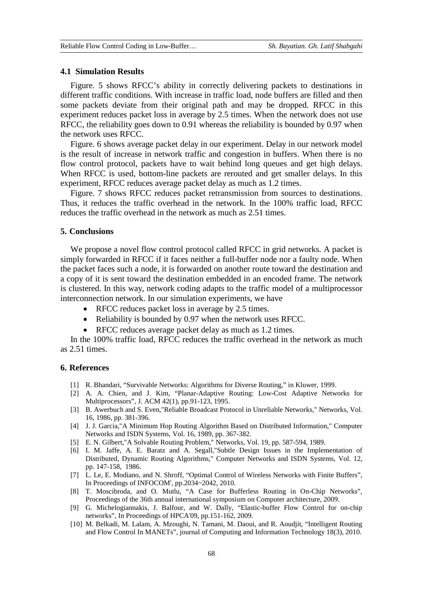### **4.1 Simulation Results**

Figure. 5 shows RFCC's ability in correctly delivering packets to destinations in different traffic conditions. With increase in traffic load, node buffers are filled and then some packets deviate from their original path and may be dropped. RFCC in this experiment reduces packet loss in average by 2.5 times. When the network does not use RFCC, the reliability goes down to 0.91 whereas the reliability is bounded by 0.97 when the network uses RFCC.

Figure. 6 shows average packet delay in our experiment. Delay in our network model is the result of increase in network traffic and congestion in buffers. When there is no flow control protocol, packets have to wait behind long queues and get high delays. When RFCC is used, bottom-line packets are rerouted and get smaller delays. In this experiment, RFCC reduces average packet delay as much as 1.2 times.

Figure. 7 shows RFCC reduces packet retransmission from sources to destinations. Thus, it reduces the traffic overhead in the network. In the 100% traffic load, RFCC reduces the traffic overhead in the network as much as 2.51 times.

# **5. Conclusions**

We propose a novel flow control protocol called RFCC in grid networks. A packet is simply forwarded in RFCC if it faces neither a full-buffer node nor a faulty node. When the packet faces such a node, it is forwarded on another route toward the destination and a copy of it is sent toward the destination embedded in an encoded frame. The network is clustered. In this way, network coding adapts to the traffic model of a multiprocessor interconnection network. In our simulation experiments, we have

- RFCC reduces packet loss in average by 2.5 times.
- Reliability is bounded by 0.97 when the network uses RFCC.
- RFCC reduces average packet delay as much as 1.2 times.

In the 100% traffic load, RFCC reduces the traffic overhead in the network as much as 2.51 times.

### **6. References**

- [1] R. Bhandari, "Survivable Networks: Algorithms for Diverse Routing," in Kluwer, 1999.
- [2] A. A. Chien, and J. Kim, "Planar-Adaptive Routing: Low-Cost Adaptive Networks for Multiprocessors", J. ACM 42(1), pp.91-123, 1995.
- [3] B. Awerbuch and S. Even,"Reliable Broadcast Protocol in Unreliable Networks," Networks, Vol. 16, 1986, pp. 381-396.
- [4] J. J. Garcia,"A Minimum Hop Routing Algorithm Based on Distributed Information," Computer Networks and ISDN Systems, Vol. 16, 1989, pp. 367-382.
- [5] E. N. Gilbert,"A Solvable Routing Problem," Networks, Vol. 19, pp. 587-594, 1989.
- [6] I. M. Jaffe, A. E. Baratz and A. Segall,"Subtle Design Issues in the Implementation of Distributed, Dynamic Routing Algorithms," Computer Networks and ISDN Systems, Vol. 12, pp. 147-158, 1986.
- [7] L. Le, E. Modiano, and N. Shroff, "Optimal Control of Wireless Networks with Finite Buffers", In Proceedings of INFOCOM', pp.2034~2042, 2010.
- [8] T. Moscibroda, and O. Mutlu, "A Case for Bufferless Routing in On-Chip Networks", Proceedings of the 36th annual international symposium on Computer architecture, 2009.
- [9] G. Michelogiannakis, J. Balfour, and W. Dally, "Elastic-buffer Flow Control for on-chip networks", In Proceedings of HPCA'09, pp.151-162, 2009.
- [10] M. Belkadi, M. Lalam, A. Mzoughi, N. Tamani, M. Daoui, and R. Aoudjit, "Intelligent Routing and Flow Control In MANETs", journal of Computing and Information Technology 18(3), 2010.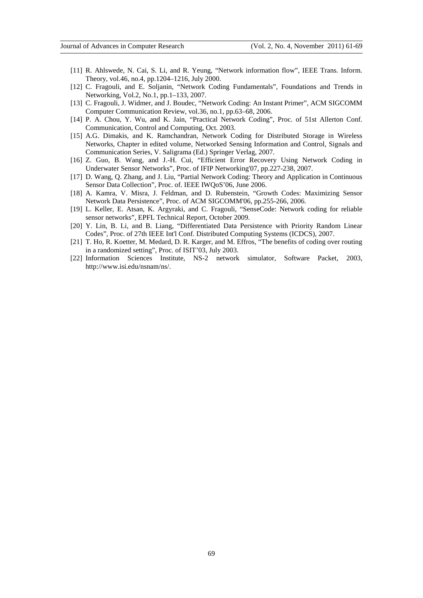- [11] R. Ahlswede, N. Cai, S. Li, and R. Yeung, "Network information flow", IEEE Trans. Inform. Theory, vol.46, no.4, pp.1204–1216, July 2000.
- [12] C. Fragouli, and E. Soljanin, "Network Coding Fundamentals", Foundations and Trends in Networking, Vol.2, No.1, pp.1–133, 2007.
- [13] C. Fragouli, J. Widmer, and J. Boudec, "Network Coding: An Instant Primer", ACM SIGCOMM Computer Communication Review, vol.36, no.1, pp.63–68, 2006.
- [14] P. A. Chou, Y. Wu, and K. Jain, "Practical Network Coding", Proc. of 51st Allerton Conf. Communication, Control and Computing, Oct. 2003.
- [15] A.G. Dimakis, and K. Ramchandran, Network Coding for Distributed Storage in Wireless Networks, Chapter in edited volume, Networked Sensing Information and Control, Signals and Communication Series, V. Saligrama (Ed.) Springer Verlag, 2007.
- [16] Z. Guo, B. Wang, and J.-H. Cui, "Efficient Error Recovery Using Network Coding in Underwater Sensor Networks", Proc. of IFIP Networking'07, pp.227-238, 2007.
- [17] D. Wang, Q. Zhang, and J. Liu, "Partial Network Coding: Theory and Application in Continuous Sensor Data Collection", Proc. of. IEEE IWQoS'06, June 2006.
- [18] A. Kamra, V. Misra, J. Feldman, and D. Rubenstein, "Growth Codes: Maximizing Sensor Network Data Persistence", Proc. of ACM SIGCOMM'06, pp.255-266, 2006.
- [19] L. Keller, E. Atsan, K. Argyraki, and C. Fragouli, "SenseCode: Network coding for reliable sensor networks", EPFL Technical Report, October 2009.
- [20] Y. Lin, B. Li, and B. Liang, "Differentiated Data Persistence with Priority Random Linear Codes", Proc. of 27th IEEE Int'l Conf. Distributed Computing Systems (ICDCS), 2007.
- [21] T. Ho, R. Koetter, M. Medard, D. R. Karger, and M. Effros, "The benefits of coding over routing in a randomized setting", Proc. of ISIT'03, July 2003.
- [22] Information Sciences Institute, NS-2 network simulator, Software Packet, 2003, http://www.isi.edu/nsnam/ns/.